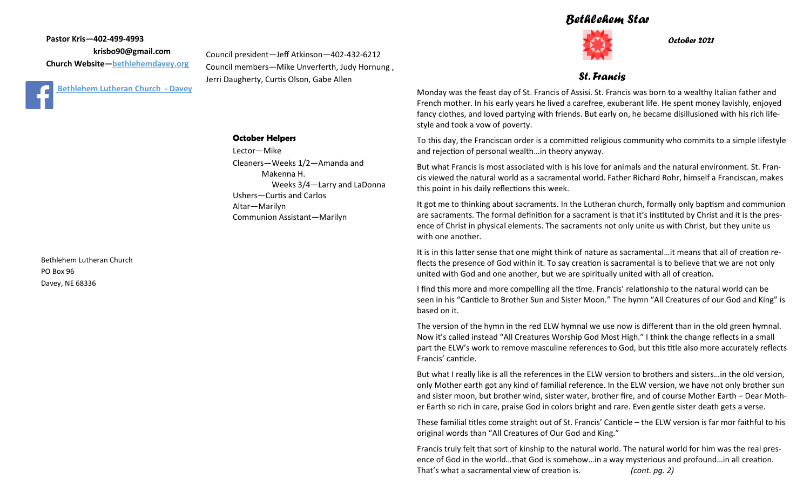#### *Bethlehem Star*



*October 2021*

*St. Francis*

Monday was the feast day of St. Francis of Assisi. St. Francis was born to a wealthy Italian father and French mother. In his early years he lived a carefree, exuberant life. He spent money lavishly, enjoyed fancy clothes, and loved partying with friends. But early on, he became disillusioned with his rich lifestyle and took a vow of poverty.

To this day, the Franciscan order is a committed religious community who commits to a simple lifestyle and rejection of personal wealth…in theory anyway.

But what Francis is most associated with is his love for animals and the natural environment. St. Francis viewed the natural world as a sacramental world. Father Richard Rohr, himself a Franciscan, makes this point in his daily reflections this week.

It got me to thinking about sacraments. In the Lutheran church, formally only baptism and communion are sacraments. The formal definition for a sacrament is that it's instituted by Christ and it is the presence of Christ in physical elements. The sacraments not only unite us with Christ, but they unite us with one another.

It is in this latter sense that one might think of nature as sacramental...it means that all of creation reflects the presence of God within it. To say creation is sacramental is to believe that we are not only united with God and one another, but we are spiritually united with all of creation.

I find this more and more compelling all the time. Francis' relationship to the natural world can be seen in his "Canticle to Brother Sun and Sister Moon." The hymn "All Creatures of our God and King" is based on it.

The version of the hymn in the red ELW hymnal we use now is different than in the old green hymnal. Now it's called instead "All Creatures Worship God Most High." I think the change reflects in a small part the ELW's work to remove masculine references to God, but this title also more accurately reflects Francis' canticle.

But what I really like is all the references in the ELW version to brothers and sisters…in the old version, only Mother earth got any kind of familial reference. In the ELW version, we have not only brother sun and sister moon, but brother wind, sister water, brother fire, and of course Mother Earth – Dear Mother Earth so rich in care, praise God in colors bright and rare. Even gentle sister death gets a verse.

These familial titles come straight out of St. Francis' Canticle – the ELW version is far mor faithful to his original words than "All Creatures of Our God and King."

Francis truly felt that sort of kinship to the natural world. The natural world for him was the real presence of God in the world…that God is somehow…in a way mysterious and profound…in all creation. That's what a sacramental view of creation is. *(cont. pg. 2)*

**Pastor Kris—402-499-4993 krisbo90@gmail.com Church Website—<bethlehemdavey.org>**



**October Helpers**

Lector—Mike Cleaners—Weeks 1/2—Amanda and Makenna H. Weeks 3/4—Larry and LaDonna Ushers—Curtis and Carlos Altar—Marilyn Communion Assistant—Marilyn

Council president—Jeff Atkinson—402-432-6212 Council members—Mike Unverferth, Judy Hornung ,

Jerri Daugherty, Curtis Olson, Gabe Allen

Bethlehem Lutheran Church PO Box 96 Davey, NE 68336